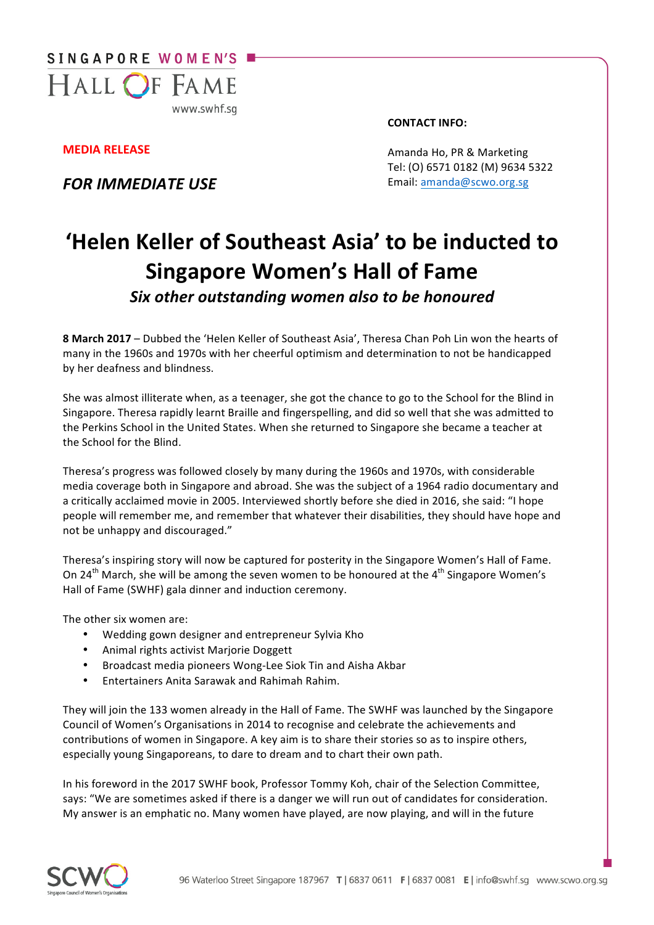

**MEDIA RELEASE**

**FOR IMMEDIATE USE** 

**CONTACT INFO:**

Amanda Ho, PR & Marketing Tel: (O) 6571 0182 (M) 9634 5322 Email: amanda@scwo.org.sg

# **'Helen Keller of Southeast Asia' to be inducted to Singapore Women's Hall of Fame**

Six other outstanding women also to be honoured

**8 March 2017** – Dubbed the 'Helen Keller of Southeast Asia', Theresa Chan Poh Lin won the hearts of many in the 1960s and 1970s with her cheerful optimism and determination to not be handicapped by her deafness and blindness.

She was almost illiterate when, as a teenager, she got the chance to go to the School for the Blind in Singapore. Theresa rapidly learnt Braille and fingerspelling, and did so well that she was admitted to the Perkins School in the United States. When she returned to Singapore she became a teacher at the School for the Blind.

Theresa's progress was followed closely by many during the 1960s and 1970s, with considerable media coverage both in Singapore and abroad. She was the subject of a 1964 radio documentary and a critically acclaimed movie in 2005. Interviewed shortly before she died in 2016, she said: "I hope people will remember me, and remember that whatever their disabilities, they should have hope and not be unhappy and discouraged."

Theresa's inspiring story will now be captured for posterity in the Singapore Women's Hall of Fame. On 24<sup>th</sup> March, she will be among the seven women to be honoured at the 4<sup>th</sup> Singapore Women's Hall of Fame (SWHF) gala dinner and induction ceremony.

The other six women are:

- Wedding gown designer and entrepreneur Sylvia Kho
- Animal rights activist Marjorie Doggett
- Broadcast media pioneers Wong-Lee Siok Tin and Aisha Akbar
- Entertainers Anita Sarawak and Rahimah Rahim.

They will join the 133 women already in the Hall of Fame. The SWHF was launched by the Singapore Council of Women's Organisations in 2014 to recognise and celebrate the achievements and contributions of women in Singapore. A key aim is to share their stories so as to inspire others, especially young Singaporeans, to dare to dream and to chart their own path.

In his foreword in the 2017 SWHF book, Professor Tommy Koh, chair of the Selection Committee, says: "We are sometimes asked if there is a danger we will run out of candidates for consideration. My answer is an emphatic no. Many women have played, are now playing, and will in the future

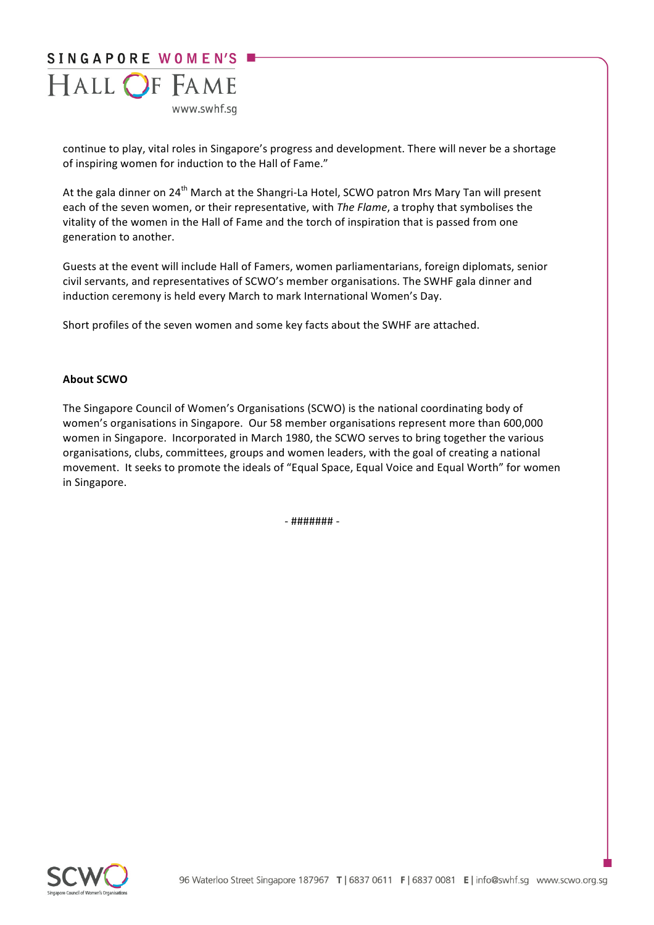

continue to play, vital roles in Singapore's progress and development. There will never be a shortage of inspiring women for induction to the Hall of Fame."

At the gala dinner on 24<sup>th</sup> March at the Shangri-La Hotel, SCWO patron Mrs Mary Tan will present each of the seven women, or their representative, with *The Flame*, a trophy that symbolises the vitality of the women in the Hall of Fame and the torch of inspiration that is passed from one generation to another.

Guests at the event will include Hall of Famers, women parliamentarians, foreign diplomats, senior civil servants, and representatives of SCWO's member organisations. The SWHF gala dinner and induction ceremony is held every March to mark International Women's Day.

Short profiles of the seven women and some key facts about the SWHF are attached.

#### **About SCWO**

The Singapore Council of Women's Organisations (SCWO) is the national coordinating body of women's organisations in Singapore. Our 58 member organisations represent more than 600,000 women in Singapore. Incorporated in March 1980, the SCWO serves to bring together the various organisations, clubs, committees, groups and women leaders, with the goal of creating a national movement. It seeks to promote the ideals of "Equal Space, Equal Voice and Equal Worth" for women in Singapore.

 $-$ ########

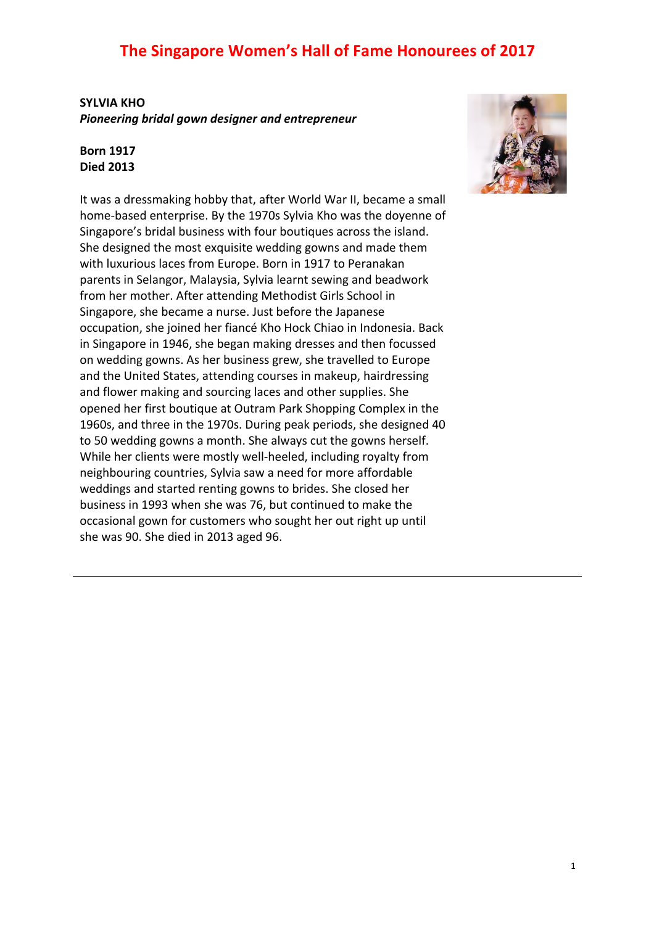## **SYLVIA KHO Pioneering bridal gown designer and entrepreneur**

#### **Born 1917 Died 2013**

It was a dressmaking hobby that, after World War II, became a small home-based enterprise. By the 1970s Sylvia Kho was the doyenne of Singapore's bridal business with four boutiques across the island. She designed the most exquisite wedding gowns and made them with luxurious laces from Europe. Born in 1917 to Peranakan parents in Selangor, Malaysia, Sylvia learnt sewing and beadwork from her mother. After attending Methodist Girls School in Singapore, she became a nurse. Just before the Japanese occupation, she joined her fiancé Kho Hock Chiao in Indonesia. Back in Singapore in 1946, she began making dresses and then focussed on wedding gowns. As her business grew, she travelled to Europe and the United States, attending courses in makeup, hairdressing and flower making and sourcing laces and other supplies. She opened her first boutique at Outram Park Shopping Complex in the 1960s, and three in the 1970s. During peak periods, she designed 40 to 50 wedding gowns a month. She always cut the gowns herself. While her clients were mostly well-heeled, including royalty from neighbouring countries, Sylvia saw a need for more affordable weddings and started renting gowns to brides. She closed her business in 1993 when she was 76, but continued to make the occasional gown for customers who sought her out right up until she was 90. She died in 2013 aged 96.

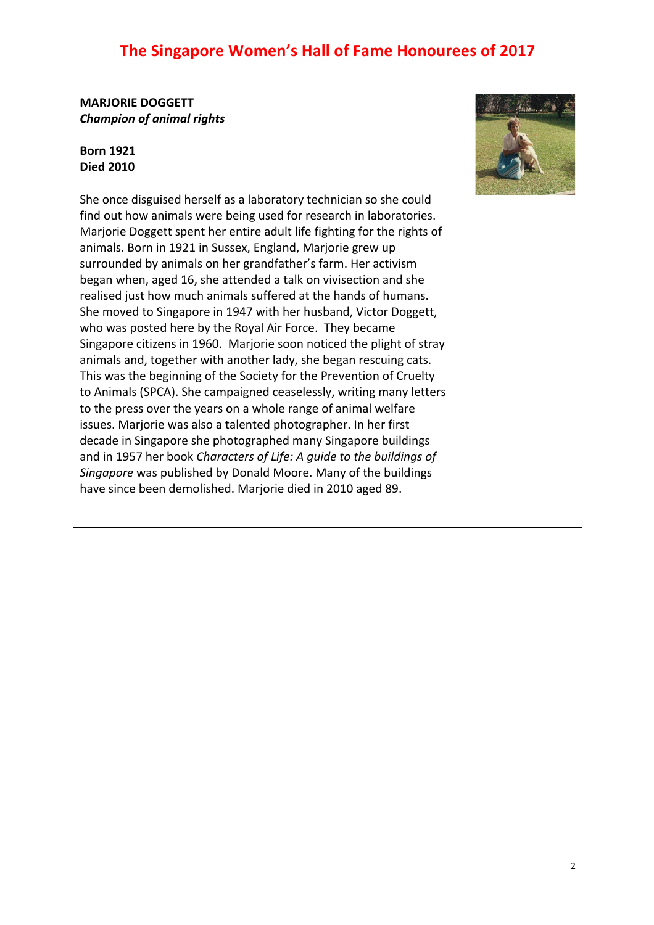**MARJORIE DOGGETT Champion of animal rights** 

#### **Born 1921 Died 2010**

She once disguised herself as a laboratory technician so she could find out how animals were being used for research in laboratories. Marjorie Doggett spent her entire adult life fighting for the rights of animals. Born in 1921 in Sussex, England, Marjorie grew up surrounded by animals on her grandfather's farm. Her activism began when, aged 16, she attended a talk on vivisection and she realised just how much animals suffered at the hands of humans. She moved to Singapore in 1947 with her husband, Victor Doggett, who was posted here by the Royal Air Force. They became Singapore citizens in 1960. Marjorie soon noticed the plight of stray animals and, together with another lady, she began rescuing cats. This was the beginning of the Society for the Prevention of Cruelty to Animals (SPCA). She campaigned ceaselessly, writing many letters to the press over the years on a whole range of animal welfare issues. Marjorie was also a talented photographer. In her first decade in Singapore she photographed many Singapore buildings and in 1957 her book *Characters of Life: A guide to the buildings of* Singapore was published by Donald Moore. Many of the buildings have since been demolished. Marjorie died in 2010 aged 89.

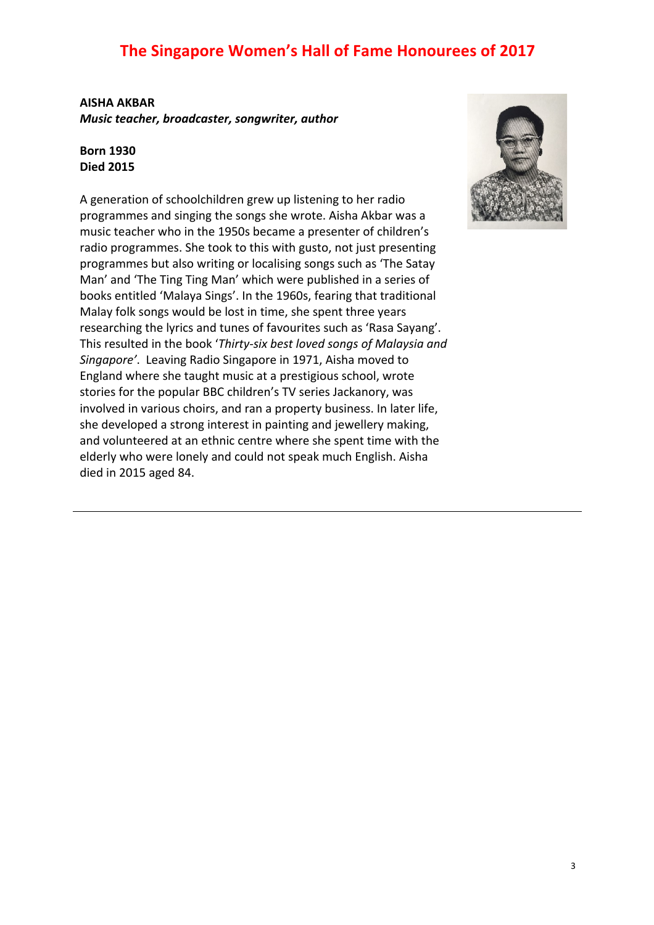**AISHA AKBAR** *Music teacher, broadcaster, songwriter, author* 

#### **Born 1930 Died 2015**

A generation of schoolchildren grew up listening to her radio programmes and singing the songs she wrote. Aisha Akbar was a music teacher who in the 1950s became a presenter of children's radio programmes. She took to this with gusto, not just presenting programmes but also writing or localising songs such as 'The Satay Man' and 'The Ting Ting Man' which were published in a series of books entitled 'Malaya Sings'. In the 1960s, fearing that traditional Malay folk songs would be lost in time, she spent three years researching the lyrics and tunes of favourites such as 'Rasa Sayang'. This resulted in the book 'Thirty-six best loved songs of Malaysia and Singapore'. Leaving Radio Singapore in 1971, Aisha moved to England where she taught music at a prestigious school, wrote stories for the popular BBC children's TV series Jackanory, was involved in various choirs, and ran a property business. In later life, she developed a strong interest in painting and jewellery making, and volunteered at an ethnic centre where she spent time with the elderly who were lonely and could not speak much English. Aisha died in 2015 aged 84.

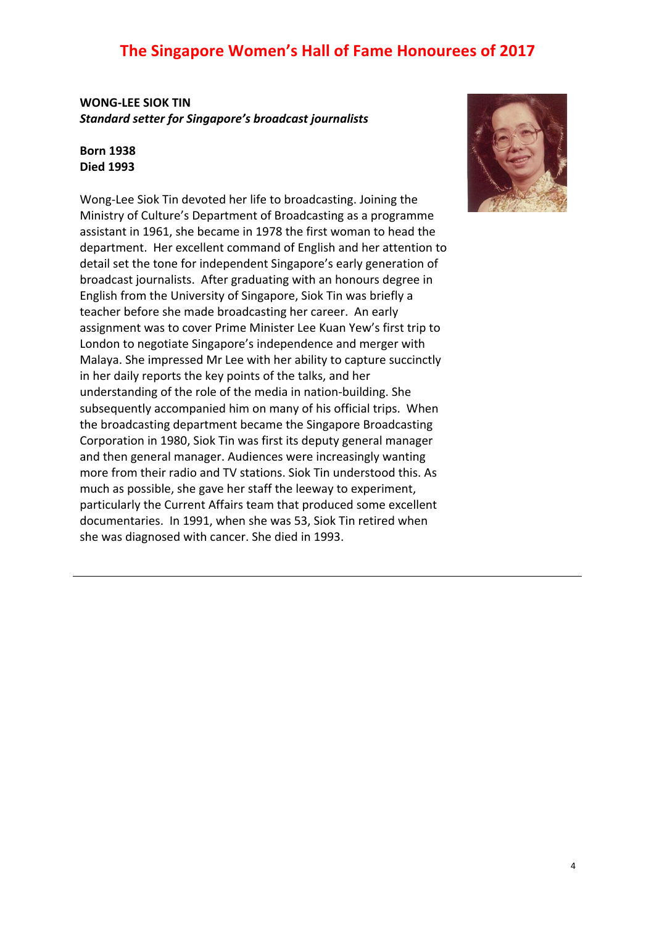## **WONG-LEE SIOK TIN** *Standard setter for Singapore's broadcast journalists*

#### **Born 1938 Died 1993**

Wong-Lee Siok Tin devoted her life to broadcasting. Joining the Ministry of Culture's Department of Broadcasting as a programme assistant in 1961, she became in 1978 the first woman to head the department. Her excellent command of English and her attention to detail set the tone for independent Singapore's early generation of broadcast journalists. After graduating with an honours degree in English from the University of Singapore, Siok Tin was briefly a teacher before she made broadcasting her career. An early assignment was to cover Prime Minister Lee Kuan Yew's first trip to London to negotiate Singapore's independence and merger with Malaya. She impressed Mr Lee with her ability to capture succinctly in her daily reports the key points of the talks, and her understanding of the role of the media in nation-building. She subsequently accompanied him on many of his official trips. When the broadcasting department became the Singapore Broadcasting Corporation in 1980, Siok Tin was first its deputy general manager and then general manager. Audiences were increasingly wanting more from their radio and TV stations. Siok Tin understood this. As much as possible, she gave her staff the leeway to experiment, particularly the Current Affairs team that produced some excellent documentaries. In 1991, when she was 53, Siok Tin retired when she was diagnosed with cancer. She died in 1993.

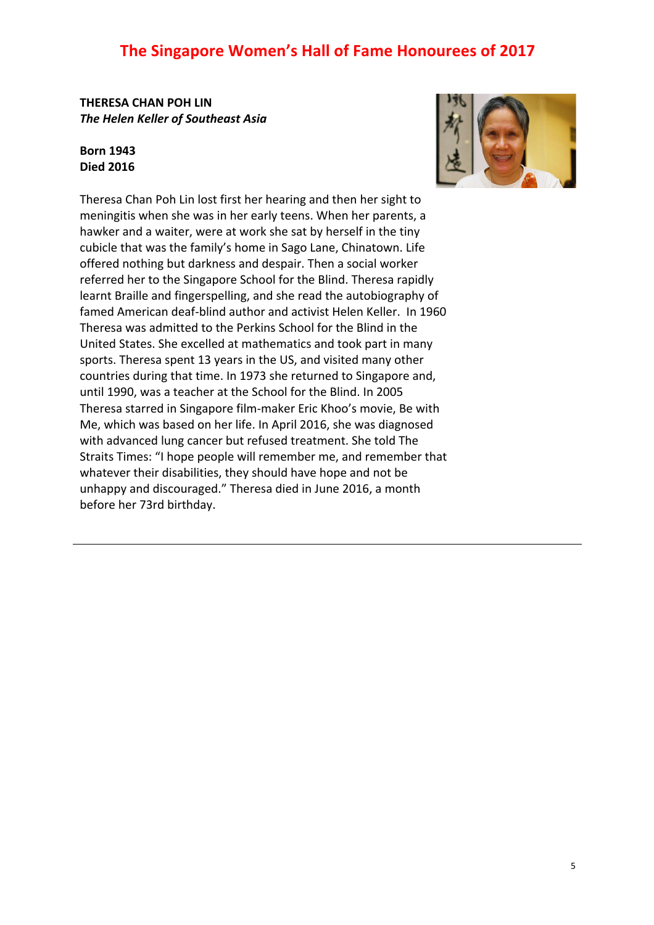**THERESA CHAN POH LIN The Helen Keller of Southeast Asia** 

#### **Born 1943 Died 2016**



Theresa Chan Poh Lin lost first her hearing and then her sight to meningitis when she was in her early teens. When her parents, a hawker and a waiter, were at work she sat by herself in the tiny cubicle that was the family's home in Sago Lane, Chinatown. Life offered nothing but darkness and despair. Then a social worker referred her to the Singapore School for the Blind. Theresa rapidly learnt Braille and fingerspelling, and she read the autobiography of famed American deaf-blind author and activist Helen Keller. In 1960 Theresa was admitted to the Perkins School for the Blind in the United States. She excelled at mathematics and took part in many sports. Theresa spent 13 years in the US, and visited many other countries during that time. In 1973 she returned to Singapore and, until 1990, was a teacher at the School for the Blind. In 2005 Theresa starred in Singapore film-maker Eric Khoo's movie, Be with Me, which was based on her life. In April 2016, she was diagnosed with advanced lung cancer but refused treatment. She told The Straits Times: "I hope people will remember me, and remember that whatever their disabilities, they should have hope and not be unhappy and discouraged." Theresa died in June 2016, a month before her 73rd birthday.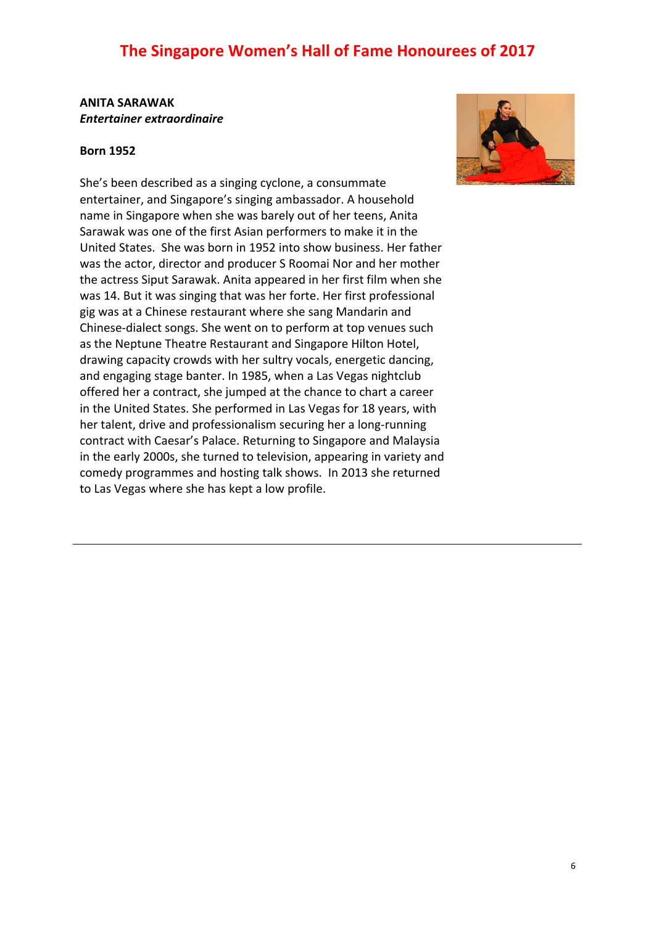#### **ANITA SARAWAK** *Entertainer extraordinaire*

#### **Born 1952**

She's been described as a singing cyclone, a consummate entertainer, and Singapore's singing ambassador. A household name in Singapore when she was barely out of her teens, Anita Sarawak was one of the first Asian performers to make it in the United States. She was born in 1952 into show business. Her father was the actor, director and producer S Roomai Nor and her mother the actress Siput Sarawak. Anita appeared in her first film when she was 14. But it was singing that was her forte. Her first professional gig was at a Chinese restaurant where she sang Mandarin and Chinese-dialect songs. She went on to perform at top venues such as the Neptune Theatre Restaurant and Singapore Hilton Hotel, drawing capacity crowds with her sultry vocals, energetic dancing, and engaging stage banter. In 1985, when a Las Vegas nightclub offered her a contract, she jumped at the chance to chart a career in the United States. She performed in Las Vegas for 18 years, with her talent, drive and professionalism securing her a long-running contract with Caesar's Palace. Returning to Singapore and Malaysia in the early 2000s, she turned to television, appearing in variety and comedy programmes and hosting talk shows. In 2013 she returned to Las Vegas where she has kept a low profile.